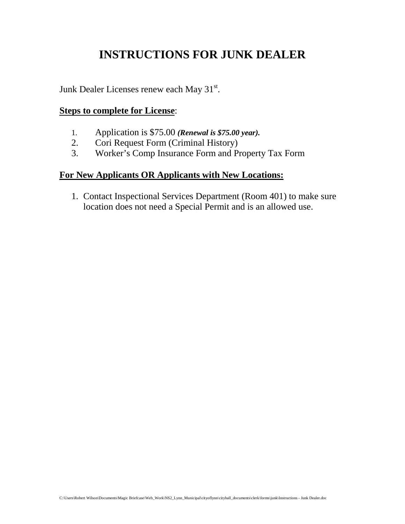## **INSTRUCTIONS FOR JUNK DEALER**

-  $X$  Q N  $'$  H D O H U  $V$  Y L F H Q V H V U H Q H

**Steps to complete for License** 

 $\ddot{\phantom{0}}$ 

 $\ddot{\phantom{0}}$ 

\$ S S O L F **DReNdwaLis R0000** year)L V ri Re es r (ri inal is ry) rers nsran er an rerya r

**For New Applicants OR Applicants with New Locations:** 

& R Q W D F W , Q V S5 HR FR WP L R Q D O 6WH<br>O R F D W L R Q G R H V Q R W Q H H G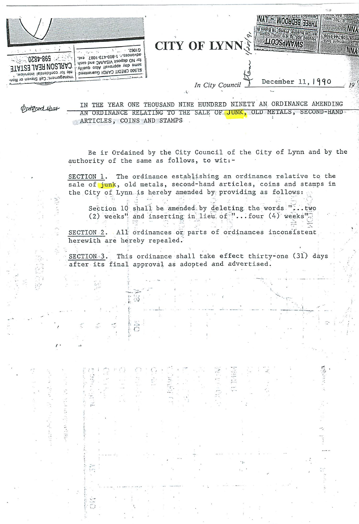

## **TTOOSHMANS** CITY OF LYNN

December 11, 1990 In City Council

three bedroon

**D.B., 707, Wel-**

*Contract NNA* 9016-002-809-108

**NNA** 

 $19<sup>°</sup>$ 

Dretered that

IN THE YEAR ONE THOUSAND NINE HUNDRED NINETY AN ORDINANCE AMENDING AN ORDINANCE RELATING TO THE SALE OF JUNK, OLD METALS, SECOND-HAND ARTICLES, COINS AND STAMPS

Be ir Ordained by the City Council of the City of Lynn and by the authority of the same as follows, to wit:-

SECTION 1. The ordinance establishing an ordinance relative to the sale of junk, old metals, second-hand articles, coins and stamps in the City of Lynn is hereby amended by providing as follows:

Section 10 shall be amended by deleting the words "... two (2) weeks" and inserting in lieu of "... four (4) weeks"

SECTION 2. All ordinances or parts of ordinances inconsistent herewith are hereby repealed.

៉ុប៉

 $\tilde{\tilde{c}}$ 

This ordinance shall take effect thirty-one (31) days SECTION 3. after its final approval as adopted and advertised.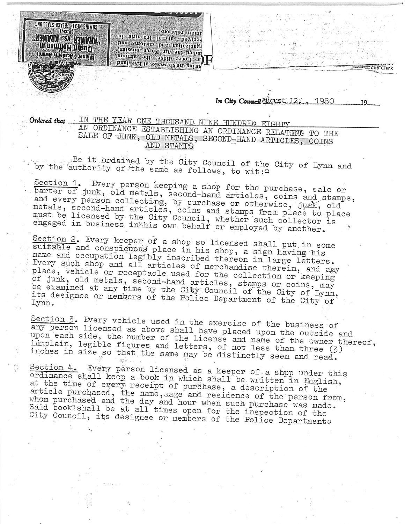" A BAALADA ASA A BAALADA " Dustin Hoffman.in Winner 6 Academy Awards

COMING NEXT: BLACK STALLION'  $(5.9)$ 

In City Council Attornst 12, 1980

City Cler

IN THE YEAR ONE THOUSAND NINE HUNDREN EIGHTY Ordered that AN ORDINANCE ESTABLISHING AN ORDINANCE RELATING TO THE SALE OF JUNK, OLD METALS, SECOND-HAND ARTICLES, COINS AND STAMPS

aman relations.

ni gninisti laiooqe boyiooq

inoisaint 9970<sup>51</sup> air - 6dh b9lbul<br>Sinoisain - 6dh - 6dh b9lbul

ir Force Base, the airman uring the six weeks at Lackland

Be it ordained by the City Council of the City of Lynn and by the authority of the same as follows, to wit: 4

Section 1. Every person keeping a shop for the purchase, sale or barter of junk, old metals, second-hand articles, coins and stamps, and every person collecting, by purchase or otherwise, jurk, old metals, second-hand articles, coins and stamps from place to place must be licensed by the City Council, whether such collector is engaged in business in his own behalf or employed by another.

Section 2. Every keeper of a shop so licensed shall put in some suitable and conspicuous place in his shop, a sign having his name and occupation legibly inscribed thereon in large letters. Every such shop and all articles of merchandise therein, and awy place, vehicle or receptacle used for the collection or keeping of junk, old metals, second-hand articles, stamps or coins, may be examined at any time by the City Council of the City of Lynn, Lynn.

Section 3. Every vehicle used in the exercise of the business of any person licensed as above shall have placed upon the outside and upon each side, the number of the license and name of the owner thereof, immplain, legible figures and letters, of not less than three (3) inches in size so that the same may be distinctly seen and read.  $\mathcal{D}^{\infty}_{\mathcal{C}}$ 

Section 4. Every person licensed as a keeper of a shop under this ordinance shall keep a book in which shall be written in English, at the time of every receipt of purchase, a description of the article purchased, the name, aage and residence of the person from, whom purchased and the day and hour when such purchase was made.<br>Said book'shall be at all times open for the inspection of the City Council, its designee or members of the Police Departments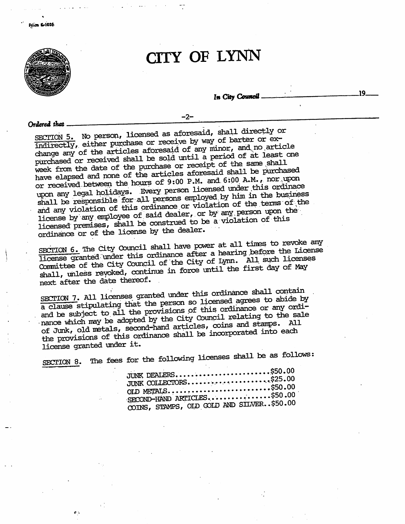

## CITY OF LYNN

 $-2-$ 

In City Council

.19.

Ordered that.

SECTION 5. No person, licensed as aforesaid, shall directly or indirectly, either purchase or receive by way of barter or exchange any of the articles aforesaid of any minor, and no article purchased or received shall be sold until a period of at least one week from the date of the purchase or receipt of the same shall have elapsed and none of the articles aforesaid shall be purchased or received between the hours of 9:00 P.M. and 6:00 A.M., nor upon upon any legal holidays. Every person licensed under this ordinace shall be responsible for all persons employed by him in the business and any violation of this ordinance or violation of the terms of the license by any employee of said dealer, or by any person upon the licensed premises, shall be construed to be a violation of this ordinance or of the license by the dealer.

SECTION 6. The City Council shall have power at all times to revoke any license granted under this ordinance after a hearing before the License Committee of the City Council of the City of Lynn. All such licenses shall, unless revoked, continue in force until the first day of May next after the date thereof.

SECTION 7. All licenses granted under this ordinance shall contain a clause stipulating that the person so licensed agrees to abide by and be subject to all the provisions of this ordinance or any ordinance which may be adopted by the City Council relating to the sale of Junk, old metals, second-hand articles, coins and stamps. All the provisions of this ordinance shall be incorporated into each license granted under it.

The fees for the following licenses shall be as follows: SECTION 8.

| JUNK DEALERS\$50.00                       |  |
|-------------------------------------------|--|
| JUNK COLLECTORS\$25.00                    |  |
| OLD METALS\$50.00                         |  |
| SECOND-HAND ARTICLES\$50.00               |  |
| COTNS. STAMPS. OLD GOLD AND SILVER\$50.00 |  |
|                                           |  |